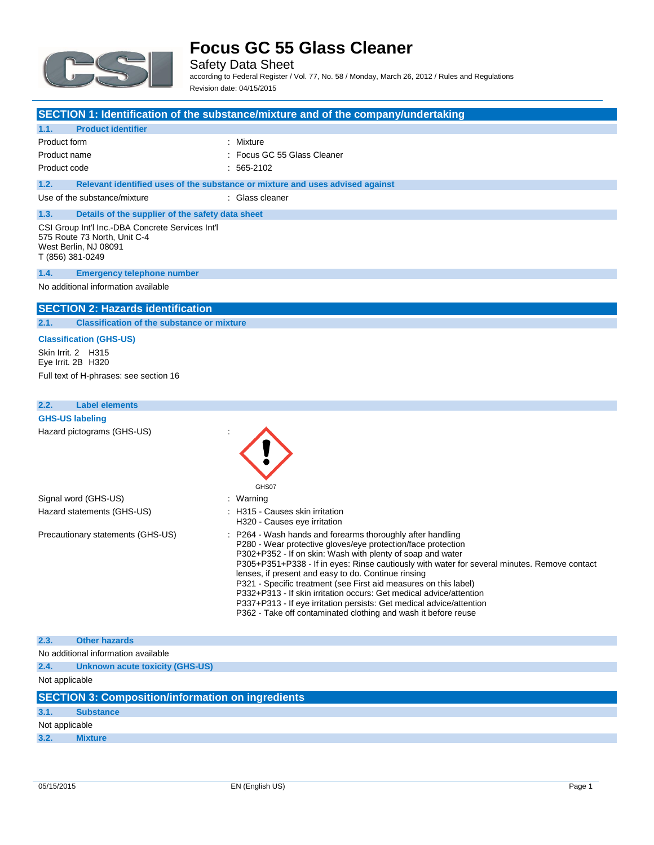

Safety Data Sheet according to Federal Register / Vol. 77, No. 58 / Monday, March 26, 2012 / Rules and Regulations Revision date: 04/15/2015

|              |                                                                                                                               | SECTION 1: Identification of the substance/mixture and of the company/undertaking |
|--------------|-------------------------------------------------------------------------------------------------------------------------------|-----------------------------------------------------------------------------------|
| 1.1.         | <b>Product identifier</b>                                                                                                     |                                                                                   |
| Product form |                                                                                                                               | : Mixture                                                                         |
| Product name |                                                                                                                               | Focus GC 55 Glass Cleaner                                                         |
| Product code |                                                                                                                               | $: 565-2102$                                                                      |
| 1.2.         |                                                                                                                               | Relevant identified uses of the substance or mixture and uses advised against     |
|              | Use of the substance/mixture                                                                                                  | : Glass cleaner                                                                   |
| 1.3.         | Details of the supplier of the safety data sheet                                                                              |                                                                                   |
|              | CSI Group Int'l Inc.-DBA Concrete Services Int'l<br>575 Route 73 North, Unit C-4<br>West Berlin, NJ 08091<br>T (856) 381-0249 |                                                                                   |
| 1.4.         | <b>Emergency telephone number</b>                                                                                             |                                                                                   |
|              | No additional information available                                                                                           |                                                                                   |
|              | <b>SECTION 2: Hazards identification</b>                                                                                      |                                                                                   |
| 2.1.         | <b>Classification of the substance or mixture</b>                                                                             |                                                                                   |
|              | <b>Classification (GHS-US)</b>                                                                                                |                                                                                   |
|              | Skin Irrit. 2 H315                                                                                                            |                                                                                   |
|              | Eye Irrit. 2B H320                                                                                                            |                                                                                   |
|              | Full text of H-phrases: see section 16                                                                                        |                                                                                   |
|              |                                                                                                                               |                                                                                   |
| 2.2.         | <b>Label elements</b>                                                                                                         |                                                                                   |
|              | <b>GHS-US labeling</b>                                                                                                        |                                                                                   |
|              | Hazard pictograms (GHS-US)                                                                                                    | GHS07                                                                             |
|              | Signal word (GHS-US)                                                                                                          | Warning                                                                           |
|              | Hazard statements (GHS-US)                                                                                                    | H315 - Causes skin irritation<br>H320 - Causes eye irritation                     |
|              | Precautionary statements (GHS-US)                                                                                             | P264 - Wash hands and forearms thoroughly after handling                          |

|                       | HUZU - Causes eye imilaliyin                                                                                               |
|-----------------------|----------------------------------------------------------------------------------------------------------------------------|
| v statements (GHS-US) | : P264 - Wash hands and forearms thoroughly after handling<br>P280 - Wear protective gloves/eye protection/face protection |
|                       | P302+P352 - If on skin: Wash with plenty of soap and water                                                                 |
|                       | P305+P351+P338 - If in eyes: Rinse cautiously with water for several minutes. Remove contact                               |
|                       | lenses, if present and easy to do. Continue rinsing                                                                        |
|                       | P321 - Specific treatment (see First aid measures on this label)                                                           |
|                       | P332+P313 - If skin irritation occurs: Get medical advice/attention                                                        |
|                       | P337+P313 - If eye irritation persists: Get medical advice/attention                                                       |
|                       | P362 - Take off contaminated clothing and wash it before reuse                                                             |

| 2.3.           | <b>Other hazards</b>                                     |
|----------------|----------------------------------------------------------|
|                |                                                          |
|                | No additional information available                      |
| 2.4.           | <b>Unknown acute toxicity (GHS-US)</b>                   |
| Not applicable |                                                          |
|                |                                                          |
|                | <b>SECTION 3: Composition/information on ingredients</b> |
| 3.1.           | <b>Substance</b>                                         |
| Not applicable |                                                          |
| 3.2.           | <b>Mixture</b>                                           |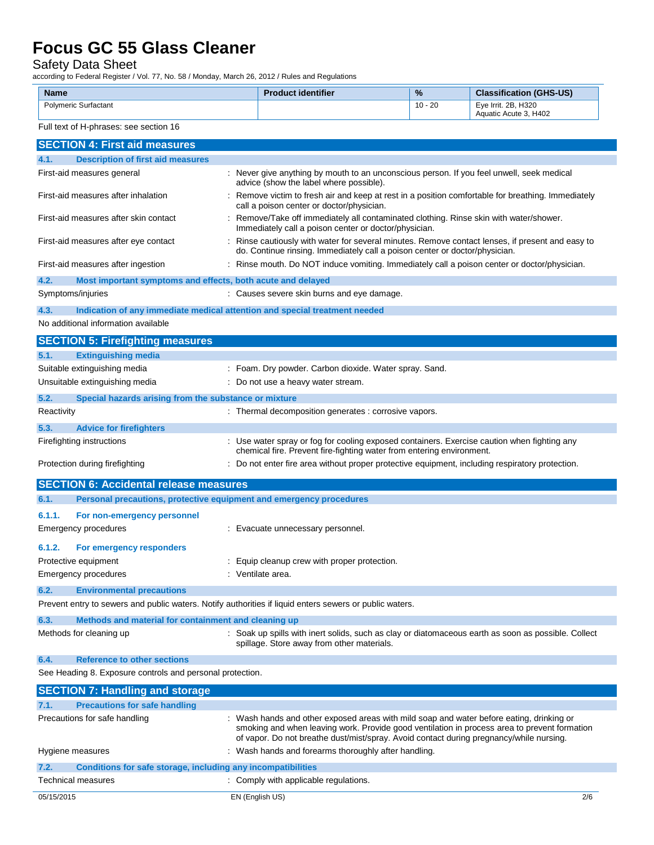#### Safety Data Sheet

according to Federal Register / Vol. 77, No. 58 / Monday, March 26, 2012 / Rules and Regulations

| <b>Name</b>                 | <b>Product identifier</b> | %         | <b>Classification (GHS-US)</b>               |
|-----------------------------|---------------------------|-----------|----------------------------------------------|
| <b>Polymeric Surfactant</b> |                           | $10 - 20$ | Eve Irrit, 2B, H320<br>Aquatic Acute 3, H402 |

#### Full text of H-phrases: see section 16

|                                       | <b>SECTION 4: First aid measures</b>                                |                                                                                                                                                                                                                                                                                     |
|---------------------------------------|---------------------------------------------------------------------|-------------------------------------------------------------------------------------------------------------------------------------------------------------------------------------------------------------------------------------------------------------------------------------|
| 4.1.                                  | <b>Description of first aid measures</b>                            |                                                                                                                                                                                                                                                                                     |
|                                       | First-aid measures general                                          | : Never give anything by mouth to an unconscious person. If you feel unwell, seek medical<br>advice (show the label where possible).                                                                                                                                                |
|                                       | First-aid measures after inhalation                                 | Remove victim to fresh air and keep at rest in a position comfortable for breathing. Immediately<br>call a poison center or doctor/physician.                                                                                                                                       |
| First-aid measures after skin contact |                                                                     | Remove/Take off immediately all contaminated clothing. Rinse skin with water/shower.<br>Immediately call a poison center or doctor/physician.                                                                                                                                       |
|                                       | First-aid measures after eye contact                                | : Rinse cautiously with water for several minutes. Remove contact lenses, if present and easy to<br>do. Continue rinsing. Immediately call a poison center or doctor/physician.                                                                                                     |
|                                       | First-aid measures after ingestion                                  | : Rinse mouth. Do NOT induce vomiting. Immediately call a poison center or doctor/physician.                                                                                                                                                                                        |
| 4.2.                                  | Most important symptoms and effects, both acute and delayed         |                                                                                                                                                                                                                                                                                     |
|                                       | Symptoms/injuries                                                   | : Causes severe skin burns and eye damage.                                                                                                                                                                                                                                          |
| 4.3.                                  |                                                                     | Indication of any immediate medical attention and special treatment needed                                                                                                                                                                                                          |
|                                       | No additional information available                                 |                                                                                                                                                                                                                                                                                     |
|                                       | <b>SECTION 5: Firefighting measures</b>                             |                                                                                                                                                                                                                                                                                     |
| 5.1.                                  | <b>Extinguishing media</b>                                          |                                                                                                                                                                                                                                                                                     |
|                                       | Suitable extinguishing media                                        | : Foam. Dry powder. Carbon dioxide. Water spray. Sand.                                                                                                                                                                                                                              |
|                                       | Unsuitable extinguishing media                                      | : Do not use a heavy water stream.                                                                                                                                                                                                                                                  |
| 5.2.                                  | Special hazards arising from the substance or mixture               |                                                                                                                                                                                                                                                                                     |
| Reactivity                            |                                                                     | : Thermal decomposition generates : corrosive vapors.                                                                                                                                                                                                                               |
| 5.3.                                  | <b>Advice for firefighters</b>                                      |                                                                                                                                                                                                                                                                                     |
|                                       | Firefighting instructions                                           | : Use water spray or fog for cooling exposed containers. Exercise caution when fighting any                                                                                                                                                                                         |
|                                       |                                                                     | chemical fire. Prevent fire-fighting water from entering environment.                                                                                                                                                                                                               |
|                                       | Protection during firefighting                                      | : Do not enter fire area without proper protective equipment, including respiratory protection.                                                                                                                                                                                     |
|                                       | <b>SECTION 6: Accidental release measures</b>                       |                                                                                                                                                                                                                                                                                     |
| 6.1.                                  | Personal precautions, protective equipment and emergency procedures |                                                                                                                                                                                                                                                                                     |
| 6.1.1.                                | For non-emergency personnel                                         |                                                                                                                                                                                                                                                                                     |
|                                       | Emergency procedures                                                | : Evacuate unnecessary personnel.                                                                                                                                                                                                                                                   |
|                                       |                                                                     |                                                                                                                                                                                                                                                                                     |
| 6.1.2.                                | For emergency responders                                            |                                                                                                                                                                                                                                                                                     |
|                                       | Protective equipment                                                | : Equip cleanup crew with proper protection.                                                                                                                                                                                                                                        |
|                                       | <b>Emergency procedures</b>                                         | : Ventilate area.                                                                                                                                                                                                                                                                   |
| 6.2.                                  | <b>Environmental precautions</b>                                    |                                                                                                                                                                                                                                                                                     |
|                                       |                                                                     | Prevent entry to sewers and public waters. Notify authorities if liquid enters sewers or public waters.                                                                                                                                                                             |
| 6.3.                                  | Methods and material for containment and cleaning up                |                                                                                                                                                                                                                                                                                     |
|                                       | Methods for cleaning up                                             | : Soak up spills with inert solids, such as clay or diatomaceous earth as soon as possible. Collect<br>spillage. Store away from other materials.                                                                                                                                   |
| 6.4.                                  | <b>Reference to other sections</b>                                  |                                                                                                                                                                                                                                                                                     |
|                                       | See Heading 8. Exposure controls and personal protection.           |                                                                                                                                                                                                                                                                                     |
|                                       | <b>SECTION 7: Handling and storage</b>                              |                                                                                                                                                                                                                                                                                     |
| 7.1.                                  | <b>Precautions for safe handling</b>                                |                                                                                                                                                                                                                                                                                     |
|                                       | Precautions for safe handling                                       | : Wash hands and other exposed areas with mild soap and water before eating, drinking or<br>smoking and when leaving work. Provide good ventilation in process area to prevent formation<br>of vapor. Do not breathe dust/mist/spray. Avoid contact during pregnancy/while nursing. |
|                                       | Hygiene measures                                                    | : Wash hands and forearms thoroughly after handling.                                                                                                                                                                                                                                |
| 7.2.                                  | Conditions for safe storage, including any incompatibilities        |                                                                                                                                                                                                                                                                                     |
|                                       | Technical measures                                                  | : Comply with applicable regulations.                                                                                                                                                                                                                                               |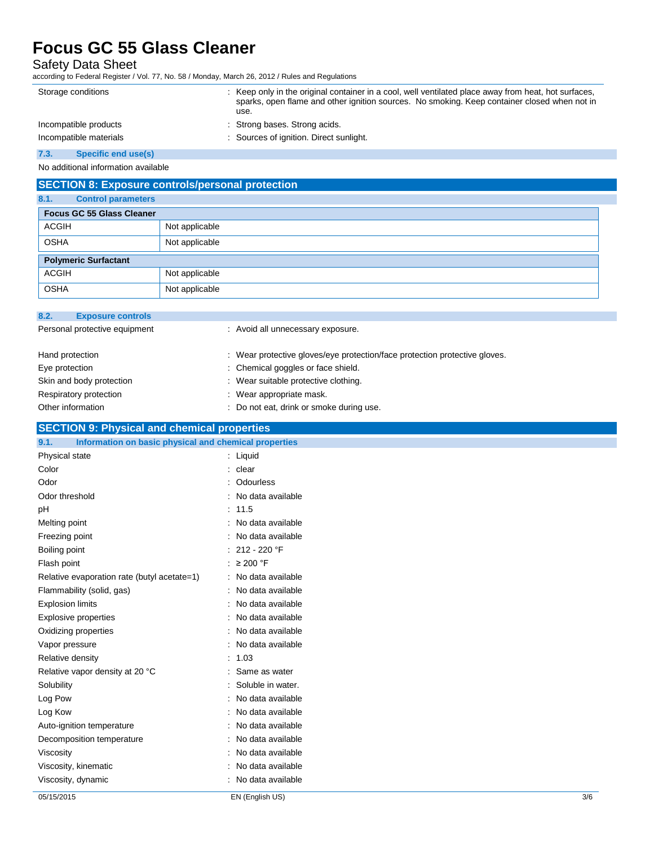### Safety Data Sheet

according to Federal Register / Vol. 77, No. 58 / Monday, March 26, 2012 / Rules and Regulations

| Storage conditions     | : Keep only in the original container in a cool, well ventilated place away from heat, hot surfaces,<br>sparks, open flame and other ignition sources. No smoking. Keep container closed when not in<br>use. |
|------------------------|--------------------------------------------------------------------------------------------------------------------------------------------------------------------------------------------------------------|
| Incompatible products  | : Strong bases. Strong acids.                                                                                                                                                                                |
| Incompatible materials | : Sources of ignition. Direct sunlight.                                                                                                                                                                      |
|                        |                                                                                                                                                                                                              |

#### **7.3. Specific end use(s)**

No additional information available

#### **SECTION 8: Exposure controls/personal protection**

| 8.1.         | <b>Control parameters</b>        |                |  |  |
|--------------|----------------------------------|----------------|--|--|
|              | <b>Focus GC 55 Glass Cleaner</b> |                |  |  |
| <b>ACGIH</b> |                                  | Not applicable |  |  |
| <b>OSHA</b>  |                                  | Not applicable |  |  |
|              | <b>Polymeric Surfactant</b>      |                |  |  |
| <b>ACGIH</b> |                                  | Not applicable |  |  |
| <b>OSHA</b>  |                                  | Not applicable |  |  |

| 8.2.<br><b>Exposure controls</b> |                                                                            |
|----------------------------------|----------------------------------------------------------------------------|
| Personal protective equipment    | : Avoid all unnecessary exposure.                                          |
| Hand protection                  | : Wear protective gloves/eye protection/face protection protective gloves. |
| Eye protection                   | : Chemical goggles or face shield.                                         |
| Skin and body protection         | : Wear suitable protective clothing.                                       |
| Respiratory protection           | : Wear appropriate mask.                                                   |
| Other information                | Do not eat, drink or smoke during use.                                     |

#### **SECTION 9: Physical and chemical properties**

| Information on basic physical and chemical properties<br>9.1. |                                               |     |
|---------------------------------------------------------------|-----------------------------------------------|-----|
| Physical state                                                | : Liquid                                      |     |
| Color                                                         | clear                                         |     |
| Odor                                                          | Odourless                                     |     |
| Odor threshold                                                | No data available                             |     |
| pH                                                            | : 11.5                                        |     |
| Melting point                                                 | No data available                             |     |
| Freezing point                                                | No data available                             |     |
| Boiling point                                                 | 212 - 220 °F                                  |     |
| Flash point                                                   | : $\geq 200$ °F                               |     |
| Relative evaporation rate (butyl acetate=1)                   | : No data available                           |     |
| Flammability (solid, gas)                                     | No data available                             |     |
| <b>Explosion limits</b>                                       | No data available                             |     |
| <b>Explosive properties</b>                                   | No data available                             |     |
| Oxidizing properties                                          | No data available<br>÷                        |     |
| Vapor pressure                                                | No data available<br>÷                        |     |
| Relative density                                              | 1.03                                          |     |
| Relative vapor density at 20 °C                               | Same as water                                 |     |
| Solubility                                                    | Soluble in water.                             |     |
| Log Pow                                                       | No data available<br>$\overline{\phantom{a}}$ |     |
| Log Kow                                                       | No data available                             |     |
| Auto-ignition temperature                                     | No data available                             |     |
| Decomposition temperature                                     | No data available                             |     |
| Viscosity                                                     | No data available                             |     |
| Viscosity, kinematic                                          | No data available                             |     |
| Viscosity, dynamic                                            | No data available                             |     |
| 05/15/2015                                                    | EN (English US)                               | 3/6 |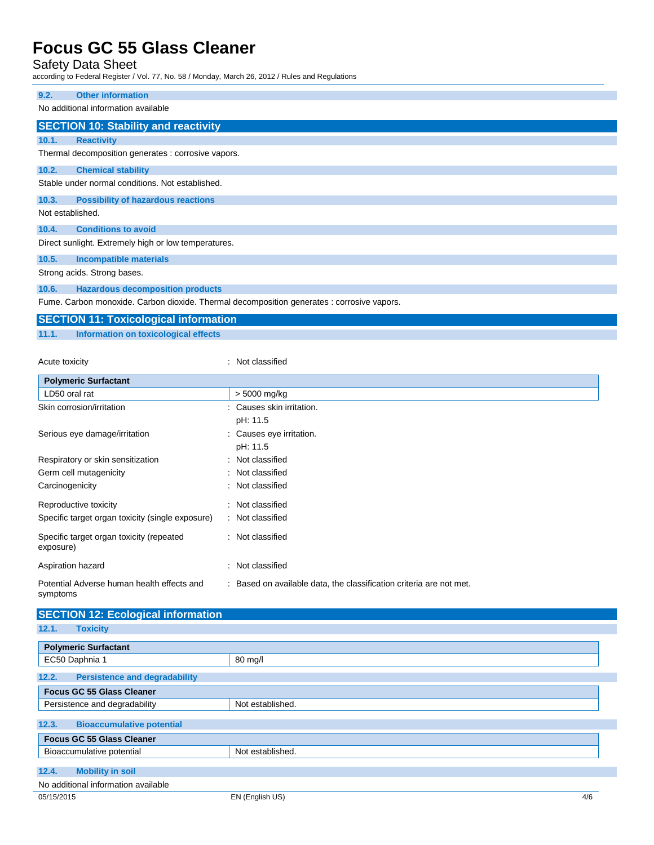### Safety Data Sheet

according to Federal Register / Vol. 77, No. 58 / Monday, March 26, 2012 / Rules and Regulations

| 9.2.                                | <b>Other information</b>                             |  |  |
|-------------------------------------|------------------------------------------------------|--|--|
| No additional information available |                                                      |  |  |
|                                     |                                                      |  |  |
|                                     | <b>SECTION 10: Stability and reactivity</b>          |  |  |
| 10.1.                               | <b>Reactivity</b>                                    |  |  |
|                                     | Thermal decomposition generates : corrosive vapors.  |  |  |
| 10.2.                               | <b>Chemical stability</b>                            |  |  |
|                                     | Stable under normal conditions. Not established.     |  |  |
| 10.3.                               | <b>Possibility of hazardous reactions</b>            |  |  |
| Not established.                    |                                                      |  |  |
| 10.4.                               | <b>Conditions to avoid</b>                           |  |  |
|                                     | Direct sunlight. Extremely high or low temperatures. |  |  |
| 10.5.                               | <b>Incompatible materials</b>                        |  |  |
|                                     | Other and the Other and have a                       |  |  |

Strong acids. Strong bases.

**10.6. Hazardous decomposition products**

Fume. Carbon monoxide. Carbon dioxide. Thermal decomposition generates : corrosive vapors.

|       | <b>SECTION 11: Toxicological information</b> |
|-------|----------------------------------------------|
| 11.1. | Information on toxicological effects         |

| Acute toxicity                                         | : Not classified                                                    |
|--------------------------------------------------------|---------------------------------------------------------------------|
| <b>Polymeric Surfactant</b>                            |                                                                     |
| LD50 oral rat                                          | > 5000 mg/kg                                                        |
| Skin corrosion/irritation                              | Causes skin irritation.                                             |
|                                                        | pH: 11.5                                                            |
| Serious eye damage/irritation                          | Causes eye irritation.                                              |
|                                                        | pH: 11.5                                                            |
| Respiratory or skin sensitization                      | : Not classified                                                    |
| Germ cell mutagenicity                                 | : Not classified                                                    |
| Carcinogenicity                                        | : Not classified                                                    |
| Reproductive toxicity                                  | : Not classified                                                    |
| Specific target organ toxicity (single exposure)       | : Not classified                                                    |
| Specific target organ toxicity (repeated<br>exposure)  | : Not classified                                                    |
| Aspiration hazard                                      | Not classified                                                      |
| Potential Adverse human health effects and<br>symptoms | : Based on available data, the classification criteria are not met. |

| <b>SECTION 12: Ecological information</b>     |                        |  |
|-----------------------------------------------|------------------------|--|
| 12.1.<br><b>Toxicity</b>                      |                        |  |
| <b>Polymeric Surfactant</b>                   |                        |  |
| EC50 Daphnia 1                                | 80 mg/l                |  |
| <b>Persistence and degradability</b><br>12.2. |                        |  |
| <b>Focus GC 55 Glass Cleaner</b>              |                        |  |
| Persistence and degradability                 | Not established.       |  |
| <b>Bioaccumulative potential</b><br>12.3.     |                        |  |
| <b>Focus GC 55 Glass Cleaner</b>              |                        |  |
| Bioaccumulative potential                     | Not established.       |  |
| <b>Mobility in soil</b><br>12.4.              |                        |  |
| No additional information available           |                        |  |
| 05/15/2015                                    | EN (English US)<br>4/6 |  |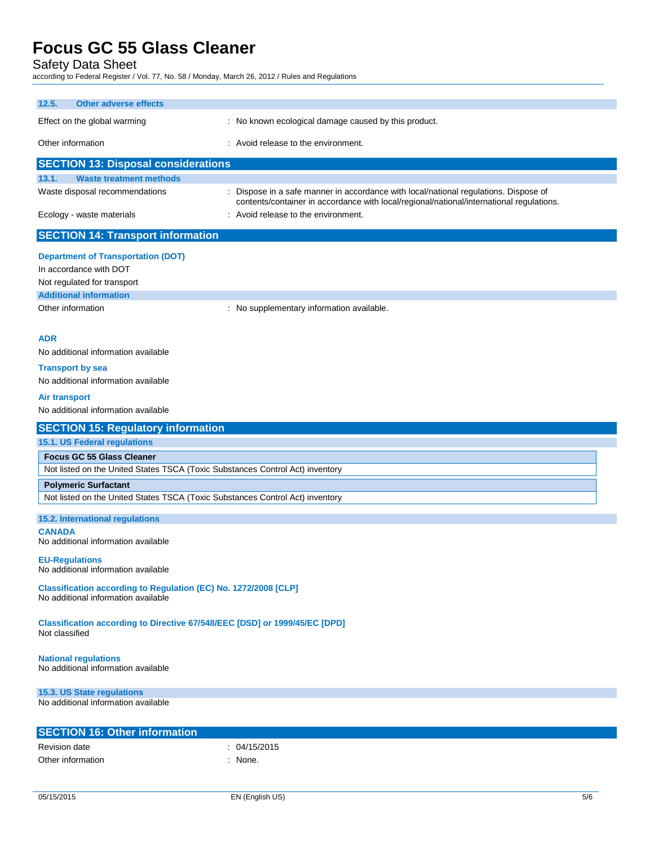Safety Data Sheet

according to Federal Register / Vol. 77, No. 58 / Monday, March 26, 2012 / Rules and Regulations

| 12.5.<br><b>Other adverse effects</b>                                                                                                                                              |                                                                                                                                                                                |
|------------------------------------------------------------------------------------------------------------------------------------------------------------------------------------|--------------------------------------------------------------------------------------------------------------------------------------------------------------------------------|
| Effect on the global warming                                                                                                                                                       | : No known ecological damage caused by this product.                                                                                                                           |
| Other information                                                                                                                                                                  | : Avoid release to the environment.                                                                                                                                            |
| <b>SECTION 13: Disposal considerations</b>                                                                                                                                         |                                                                                                                                                                                |
| 13.1.<br><b>Waste treatment methods</b>                                                                                                                                            |                                                                                                                                                                                |
| Waste disposal recommendations                                                                                                                                                     | Dispose in a safe manner in accordance with local/national regulations. Dispose of<br>contents/container in accordance with local/regional/national/international regulations. |
| Ecology - waste materials                                                                                                                                                          | : Avoid release to the environment.                                                                                                                                            |
| <b>SECTION 14: Transport information</b>                                                                                                                                           |                                                                                                                                                                                |
| <b>Department of Transportation (DOT)</b><br>In accordance with DOT<br>Not regulated for transport                                                                                 |                                                                                                                                                                                |
| <b>Additional information</b>                                                                                                                                                      |                                                                                                                                                                                |
| Other information                                                                                                                                                                  | : No supplementary information available.                                                                                                                                      |
| <b>ADR</b><br>No additional information available<br><b>Transport by sea</b><br>No additional information available<br><b>Air transport</b><br>No additional information available |                                                                                                                                                                                |
| <b>SECTION 15: Regulatory information</b>                                                                                                                                          |                                                                                                                                                                                |
|                                                                                                                                                                                    |                                                                                                                                                                                |
| 15.1. US Federal regulations                                                                                                                                                       |                                                                                                                                                                                |
| <b>Focus GC 55 Glass Cleaner</b>                                                                                                                                                   |                                                                                                                                                                                |
| Not listed on the United States TSCA (Toxic Substances Control Act) inventory                                                                                                      |                                                                                                                                                                                |
| <b>Polymeric Surfactant</b>                                                                                                                                                        |                                                                                                                                                                                |
| Not listed on the United States TSCA (Toxic Substances Control Act) inventory                                                                                                      |                                                                                                                                                                                |
| 15.2. International regulations                                                                                                                                                    |                                                                                                                                                                                |
| <b>CANADA</b><br>No additional information available                                                                                                                               |                                                                                                                                                                                |
| <b>EU-Regulations</b><br>No additional information available                                                                                                                       |                                                                                                                                                                                |
| Classification according to Regulation (EC) No. 1272/2008 [CLP]<br>No additional information available                                                                             |                                                                                                                                                                                |
| Classification according to Directive 67/548/EEC [DSD] or 1999/45/EC [DPD]<br>Not classified                                                                                       |                                                                                                                                                                                |
| <b>National regulations</b><br>No additional information available                                                                                                                 |                                                                                                                                                                                |
| 15.3. US State regulations<br>No additional information available                                                                                                                  |                                                                                                                                                                                |
|                                                                                                                                                                                    |                                                                                                                                                                                |
| <b>SECTION 16: Other information</b>                                                                                                                                               |                                                                                                                                                                                |
| <b>Revision date</b><br>Other information                                                                                                                                          | : 04/15/2015<br>: None.                                                                                                                                                        |